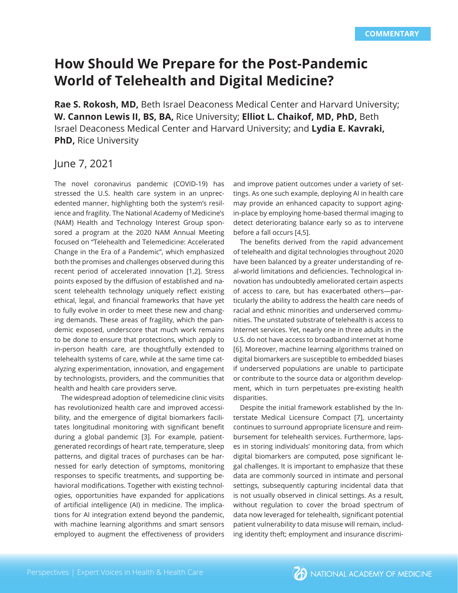# **How Should We Prepare for the Post-Pandemic World of Telehealth and Digital Medicine?**

**Rae S. Rokosh, MD, Beth Israel Deaconess Medical Center and Harvard University; W. Cannon Lewis II, BS, BA,** Rice University; **Elliot L. Chaikof, MD, PhD,** Beth Israel Deaconess Medical Center and Harvard University; and **Lydia E. Kavraki, PhD,** Rice University

# June 7, 2021

The novel coronavirus pandemic (COVID-19) has stressed the U.S. health care system in an unprecedented manner, highlighting both the system's resilience and fragility. The National Academy of Medicine's (NAM) Health and Technology Interest Group sponsored a program at the 2020 NAM Annual Meeting focused on "Telehealth and Telemedicine: Accelerated Change in the Era of a Pandemic", which emphasized both the promises and challenges observed during this recent period of accelerated innovation [1,2]. Stress points exposed by the diffusion of established and nascent telehealth technology uniquely reflect existing ethical, legal, and financial frameworks that have yet to fully evolve in order to meet these new and changing demands. These areas of fragility, which the pandemic exposed, underscore that much work remains to be done to ensure that protections, which apply to in-person health care, are thoughtfully extended to telehealth systems of care, while at the same time catalyzing experimentation, innovation, and engagement by technologists, providers, and the communities that health and health care providers serve.

The widespread adoption of telemedicine clinic visits has revolutionized health care and improved accessibility, and the emergence of digital biomarkers facilitates longitudinal monitoring with significant benefit during a global pandemic [3]. For example, patientgenerated recordings of heart rate, temperature, sleep patterns, and digital traces of purchases can be harnessed for early detection of symptoms, monitoring responses to specific treatments, and supporting behavioral modifications. Together with existing technologies, opportunities have expanded for applications of artificial intelligence (AI) in medicine. The implications for AI integration extend beyond the pandemic, with machine learning algorithms and smart sensors employed to augment the effectiveness of providers

and improve patient outcomes under a variety of settings. As one such example, deploying AI in health care may provide an enhanced capacity to support agingin-place by employing home-based thermal imaging to detect deteriorating balance early so as to intervene before a fall occurs [4,5].

The benefits derived from the rapid advancement of telehealth and digital technologies throughout 2020 have been balanced by a greater understanding of real-world limitations and deficiencies. Technological innovation has undoubtedly ameliorated certain aspects of access to care, but has exacerbated others—particularly the ability to address the health care needs of racial and ethnic minorities and underserved communities. The unstated substrate of telehealth is access to Internet services. Yet, nearly one in three adults in the U.S. do not have access to broadband internet at home [6]. Moreover, machine learning algorithms trained on digital biomarkers are susceptible to embedded biases if underserved populations are unable to participate or contribute to the source data or algorithm development, which in turn perpetuates pre-existing health disparities.

Despite the initial framework established by the Interstate Medical Licensure Compact [7], uncertainty continues to surround appropriate licensure and reimbursement for telehealth services. Furthermore, lapses in storing individuals' monitoring data, from which digital biomarkers are computed, pose significant legal challenges. It is important to emphasize that these data are commonly sourced in intimate and personal settings, subsequently capturing incidental data that is not usually observed in clinical settings. As a result, without regulation to cover the broad spectrum of data now leveraged for telehealth, significant potential patient vulnerability to data misuse will remain, including identity theft; employment and insurance discrimi-

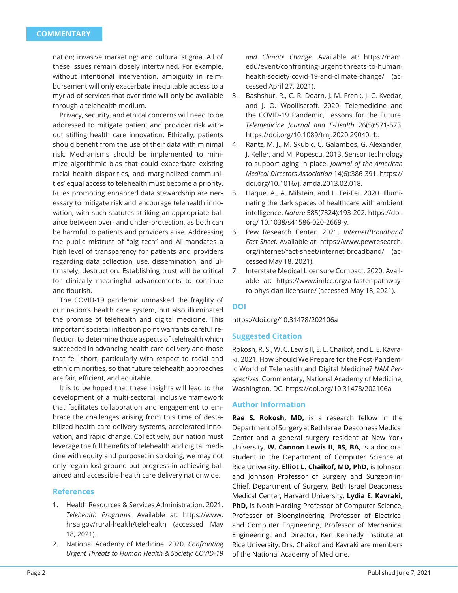nation; invasive marketing; and cultural stigma. All of these issues remain closely intertwined. For example, without intentional intervention, ambiguity in reimbursement will only exacerbate inequitable access to a myriad of services that over time will only be available through a telehealth medium.

Privacy, security, and ethical concerns will need to be addressed to mitigate patient and provider risk without stifling health care innovation. Ethically, patients should benefit from the use of their data with minimal risk. Mechanisms should be implemented to minimize algorithmic bias that could exacerbate existing racial health disparities, and marginalized communities' equal access to telehealth must become a priority. Rules promoting enhanced data stewardship are necessary to mitigate risk and encourage telehealth innovation, with such statutes striking an appropriate balance between over- and under-protection, as both can be harmful to patients and providers alike. Addressing the public mistrust of "big tech" and AI mandates a high level of transparency for patients and providers regarding data collection, use, dissemination, and ultimately, destruction. Establishing trust will be critical for clinically meaningful advancements to continue and flourish.

The COVID-19 pandemic unmasked the fragility of our nation's health care system, but also illuminated the promise of telehealth and digital medicine. This important societal inflection point warrants careful reflection to determine those aspects of telehealth which succeeded in advancing health care delivery and those that fell short, particularly with respect to racial and ethnic minorities, so that future telehealth approaches are fair, efficient, and equitable.

It is to be hoped that these insights will lead to the development of a multi-sectoral, inclusive framework that facilitates collaboration and engagement to embrace the challenges arising from this time of destabilized health care delivery systems, accelerated innovation, and rapid change. Collectively, our nation must leverage the full benefits of telehealth and digital medicine with equity and purpose; in so doing, we may not only regain lost ground but progress in achieving balanced and accessible health care delivery nationwide.

#### **References**

- 1. Health Resources & Services Administration. 2021. *Telehealth Programs.* Available at: https://www. hrsa.gov/rural-health/telehealth (accessed May 18, 2021).
- 2. National Academy of Medicine. 2020. *Confronting Urgent Threats to Human Health & Society: COVID-19*

*and Climate Change.* Available at: https://nam. edu/event/confronting-urgent-threats-to-humanhealth-society-covid-19-and-climate-change/ (accessed April 27, 2021).

- 3. Bashshur, R., C. R. Doarn, J. M. Frenk, J. C. Kvedar, and J. O. Woolliscroft. 2020. Telemedicine and the COVID-19 Pandemic, Lessons for the Future. *Telemedicine Journal and E-Health* 26(5):571-573. https://doi.org/10.1089/tmj.2020.29040.rb.
- 4. Rantz, M. J., M. Skubic, C. Galambos, G. Alexander, J. Keller, and M. Popescu. 2013. Sensor technology to support aging in place. *Journal of the American Medical Directors Association* 14(6):386-391. https:// doi.org/10.1016/j.jamda.2013.02.018.
- 5. Haque, A., A. Milstein, and L. Fei-Fei. 2020. Illuminating the dark spaces of healthcare with ambient intelligence. *Nature* 585(7824):193-202. https://doi. org/ 10.1038/s41586-020-2669-y.
- 6. Pew Research Center. 2021. *Internet/Broadband Fact Sheet.* Available at: https://www.pewresearch. org/internet/fact-sheet/internet-broadband/ (accessed May 18, 2021).
- 7. Interstate Medical Licensure Compact. 2020. Available at: https://www.imlcc.org/a-faster-pathwayto-physician-licensure/ (accessed May 18, 2021).

## **DOI**

https://doi.org/10.31478/202106a

#### **Suggested Citation**

Rokosh, R. S., W. C. Lewis II, E. L. Chaikof, and L. E. Kavraki. 2021. How Should We Prepare for the Post-Pandemic World of Telehealth and Digital Medicine? *NAM Perspectives.* Commentary, National Academy of Medicine, Washington, DC. https://doi.org/10.31478/202106a

#### **Author Information**

**Rae S. Rokosh, MD,** is a research fellow in the Department of Surgery at Beth Israel Deaconess Medical Center and a general surgery resident at New York University. **W. Cannon Lewis II, BS, BA,** is a doctoral student in the Department of Computer Science at Rice University. **Elliot L. Chaikof, MD, PhD,** is Johnson and Johnson Professor of Surgery and Surgeon-in-Chief, Department of Surgery, Beth Israel Deaconess Medical Center, Harvard University. **Lydia E. Kavraki, PhD,** is Noah Harding Professor of Computer Science, Professor of Bioengineering, Professor of Electrical and Computer Engineering, Professor of Mechanical Engineering, and Director, Ken Kennedy Institute at Rice University. Drs. Chaikof and Kavraki are members of the National Academy of Medicine.